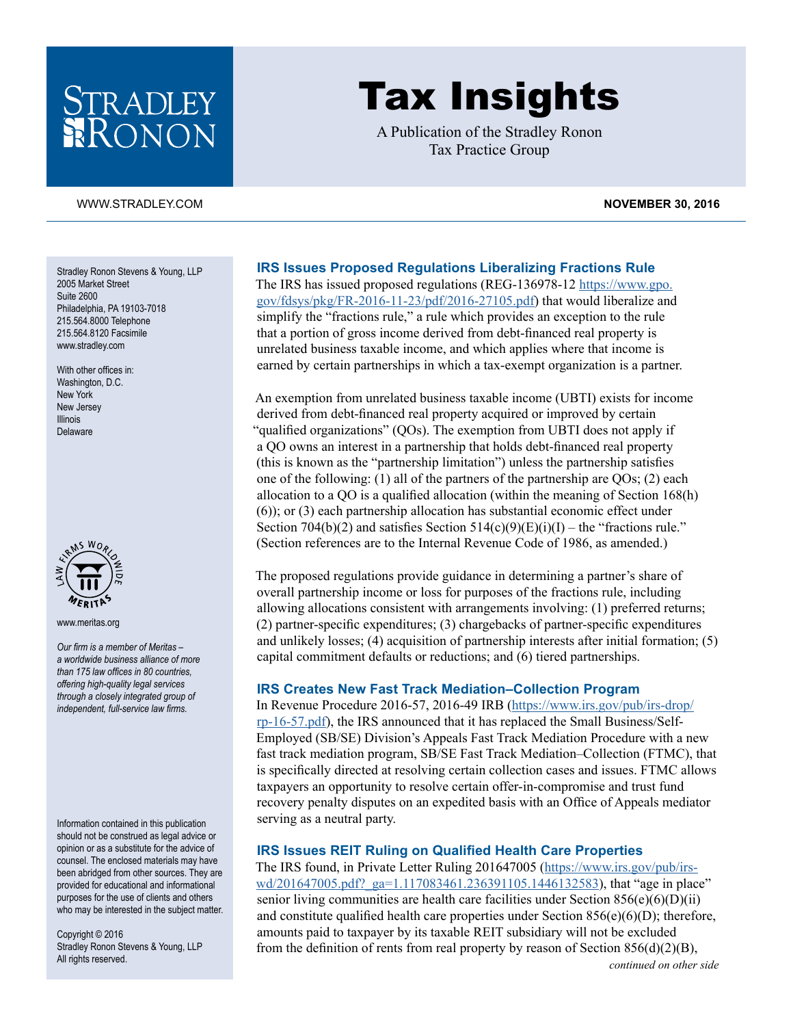## STRADLEY RONON

# Tax Insights

A Publication of the Stradley Ronon Tax Practice Group

#### [WWW.STRADLEY.COM](www.stradley.com) **NOVEMBER 30, 2016**

Stradley Ronon Stevens & Young, LLP 2005 Market Street Suite 2600 Philadelphia, PA 19103-7018 215.564.8000 Telephone 215.564.8120 Facsimile [www.stradley.com](http://www.stradley.com)

With other offices in: Washington, D.C. New York New Jersey Illinois Delaware



[www.meritas.org](http://www.meritas.org)

*Our firm is a member of Meritas – a worldwide business alliance of more than 175 law offices in 80 countries, offering high-quality legal services through a closely integrated group of independent, full-service law firms.*

Information contained in this publication should not be construed as legal advice or opinion or as a substitute for the advice of counsel. The enclosed materials may have been abridged from other sources. They are provided for educational and informational purposes for the use of clients and others who may be interested in the subject matter.

Copyright © 2016 Stradley Ronon Stevens & Young, LLP All rights reserved.

#### **IRS Issues Proposed Regulations Liberalizing Fractions Rule**

The IRS has issued proposed regulations (REG-136978-12 https://www.gpo. gov/fdsys/pkg/FR-2016-11-23/pdf/2016-27105.pdf) that would liberalize and simplify the "fractions rule," a rule which provides an exception to the rule that a portion of gross income derived from debt-financed real property is unrelated business taxable income, and which applies where that income is earned by certain partnerships in which a tax-exempt organization is a partner.

An exemption from unrelated business taxable income (UBTI) exists for income derived from debt-financed real property acquired or improved by certain "qualified organizations" (QOs). The exemption from UBTI does not apply if a QO owns an interest in a partnership that holds debt-financed real property (this is known as the "partnership limitation") unless the partnership satisfies one of the following: (1) all of the partners of the partnership are QOs; (2) each allocation to a QO is a qualified allocation (within the meaning of Section 168(h) (6)); or (3) each partnership allocation has substantial economic effect under Section 704(b)(2) and satisfies Section  $514(c)(9)(E)(i)(I)$  – the "fractions rule." (Section references are to the Internal Revenue Code of 1986, as amended.)

The proposed regulations provide guidance in determining a partner's share of overall partnership income or loss for purposes of the fractions rule, including allowing allocations consistent with arrangements involving: (1) preferred returns; (2) partner-specific expenditures; (3) chargebacks of partner-specific expenditures and unlikely losses; (4) acquisition of partnership interests after initial formation; (5) capital commitment defaults or reductions; and (6) tiered partnerships.

#### **IRS Creates New Fast Track Mediation–Collection Program**

In Revenue Procedure 2016-57, 2016-49 IRB (https://www.irs.gov/pub/irs-drop/ rp-16-57.pdf), the IRS announced that it has replaced the Small Business/Self-Employed (SB/SE) Division's Appeals Fast Track Mediation Procedure with a new fast track mediation program, SB/SE Fast Track Mediation–Collection (FTMC), that is specifically directed at resolving certain collection cases and issues. FTMC allows taxpayers an opportunity to resolve certain offer-in-compromise and trust fund recovery penalty disputes on an expedited basis with an Office of Appeals mediator serving as a neutral party.

#### **IRS Issues REIT Ruling on Qualified Health Care Properties**

The IRS found, in Private Letter Ruling 201647005 (https://www.irs.gov/pub/irswd/201647005.pdf? ga=1.117083461.236391105.1446132583), that "age in place" senior living communities are health care facilities under Section  $856(e)(6)(D)(ii)$ and constitute qualified health care properties under Section  $856(e)(6)(D)$ ; therefore, amounts paid to taxpayer by its taxable REIT subsidiary will not be excluded from the definition of rents from real property by reason of Section  $856(d)(2)(B)$ ,